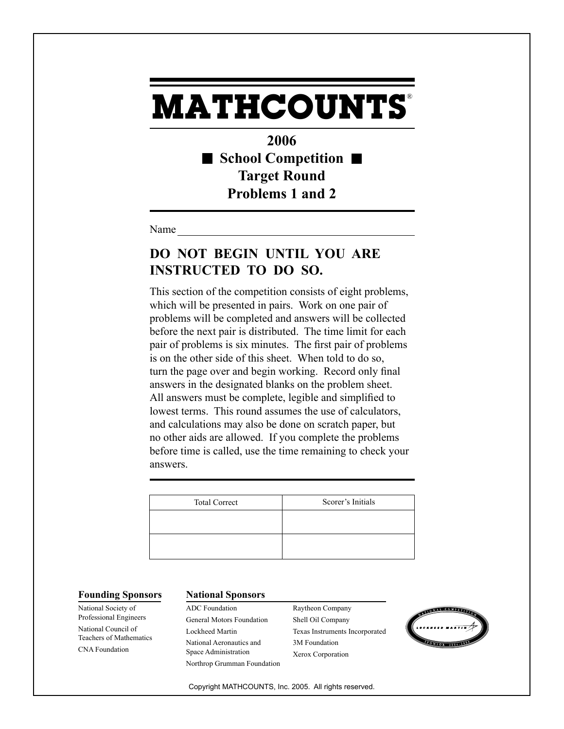**2006** ■ School Competition ■ **Target Round Problems 1 and 2**

Name

## **DO NOT BEGIN UNTIL YOU ARE INSTRUCTED TO DO SO.**

This section of the competition consists of eight problems, which will be presented in pairs. Work on one pair of problems will be completed and answers will be collected before the next pair is distributed. The time limit for each pair of problems is six minutes. The first pair of problems is on the other side of this sheet. When told to do so, turn the page over and begin working. Record only final answers in the designated blanks on the problem sheet. All answers must be complete, legible and simplified to lowest terms. This round assumes the use of calculators, and calculations may also be done on scratch paper, but no other aids are allowed. If you complete the problems before time is called, use the time remaining to check your answers.

| <b>Total Correct</b> | Scorer's Initials |
|----------------------|-------------------|
|                      |                   |
|                      |                   |
|                      |                   |

National Society of Professional Engineers National Council of Teachers of Mathematics CNA Foundation

#### **Founding Sponsors National Sponsors**

ADC Foundation General Motors Foundation Lockheed Martin National Aeronautics and Space Administration Northrop Grumman Foundation Raytheon Company Shell Oil Company Texas Instruments Incorporated 3M Foundation Xerox Corporation

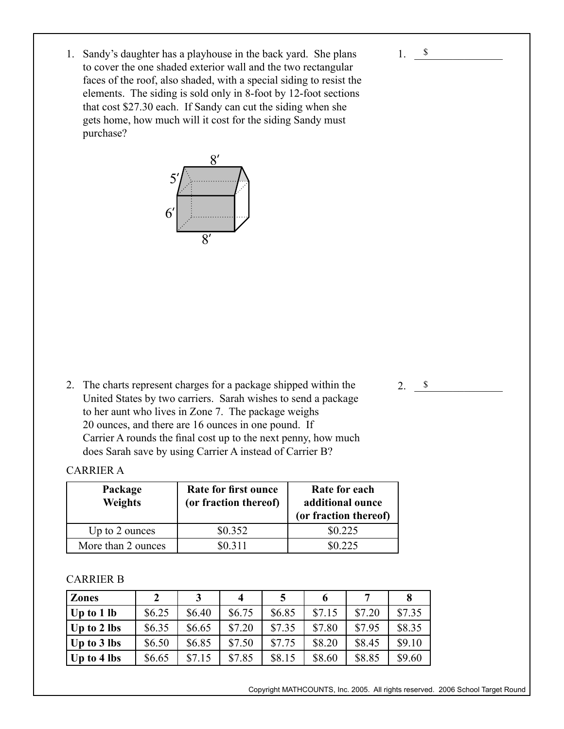$2. \ \ \}$ 

1. Sandy's daughter has a playhouse in the back yard. She plans to cover the one shaded exterior wall and the two rectangular faces of the roof, also shaded, with a special siding to resist the elements. The siding is sold only in 8-foot by 12-foot sections that cost \$27.30 each. If Sandy can cut the siding when she gets home, how much will it cost for the siding Sandy must purchase?



2. The charts represent charges for a package shipped within the United States by two carriers. Sarah wishes to send a package to her aunt who lives in Zone 7. The package weighs 20 ounces, and there are 16 ounces in one pound. If Carrier A rounds the final cost up to the next penny, how much does Sarah save by using Carrier A instead of Carrier B?

### CARRIER A

| Package<br><b>Weights</b> | Rate for first ounce<br>(or fraction thereof) | Rate for each<br>additional ounce<br>(or fraction thereof) |
|---------------------------|-----------------------------------------------|------------------------------------------------------------|
| Up to 2 ounces            | \$0.352                                       | \$0.225                                                    |
| More than 2 ounces        | \$0,311                                       | \$0.225                                                    |

### CARRIER B

| <b>Zones</b> |        |        | 4      |        |        |        |        |
|--------------|--------|--------|--------|--------|--------|--------|--------|
| Up to 1 lb   | \$6.25 | \$6.40 | \$6.75 | \$6.85 | \$7.15 | \$7.20 | \$7.35 |
| Up to 2 lbs  | \$6.35 | \$6.65 | \$7.20 | \$7.35 | \$7.80 | \$7.95 | \$8.35 |
| Up to 3 lbs  | \$6.50 | \$6.85 | \$7.50 | \$7.75 | \$8.20 | \$8.45 | \$9.10 |
| Up to 4 lbs  | \$6.65 | \$7.15 | \$7.85 | \$8.15 | \$8.60 | \$8.85 | \$9.60 |

Copyright MATHCOUNTS, Inc. 2005. All rights reserved. 2006 School Target Round

<sup>1.</sup> **\$**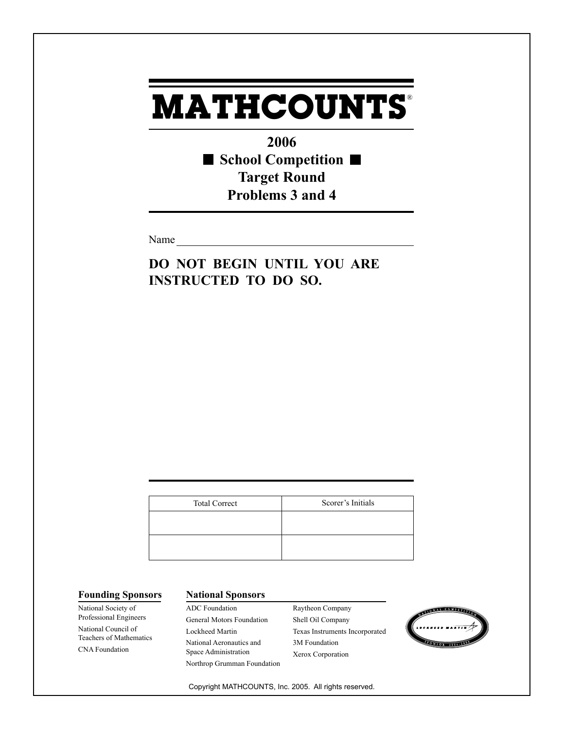**2006 School Competition Target Round Problems 3 and 4**

Name

**DO NOT BEGIN UNTIL YOU ARE INSTRUCTED TO DO SO.**

| <b>Total Correct</b> | Scorer's Initials |
|----------------------|-------------------|
|                      |                   |
|                      |                   |
|                      |                   |

National Society of Professional Engineers National Council of Teachers of Mathematics CNA Foundation

### **Founding Sponsors National Sponsors**

ADC Foundation General Motors Foundation Lockheed Martin National Aeronautics and Space Administration Northrop Grumman Foundation Raytheon Company Shell Oil Company Texas Instruments Incorporated 3M Foundation Xerox Corporation

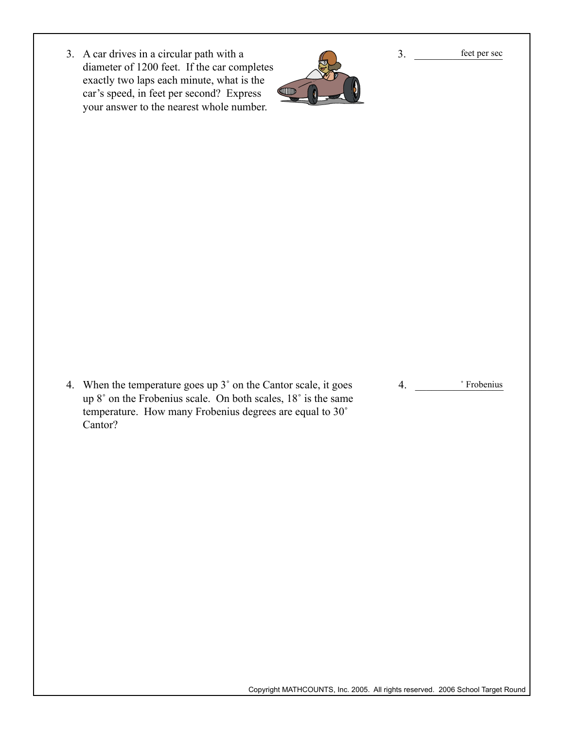3. A car drives in a circular path with a diameter of 1200 feet. If the car completes exactly two laps each minute, what is the car's speed, in feet per second? Express your answer to the nearest whole number.



3. \_\_\_\_\_\_\_\_\_\_\_\_\_\_\_\_ feet per sec

4. When the temperature goes up 3˚ on the Cantor scale, it goes up 8˚ on the Frobenius scale. On both scales, 18˚ is the same temperature. How many Frobenius degrees are equal to 30˚ Cantor?

4. \_\_\_\_\_\_\_\_\_\_\_\_\_\_\_\_ ˚ Frobenius

Copyright MATHCOUNTS, Inc. 2005. All rights reserved. 2006 School Target Round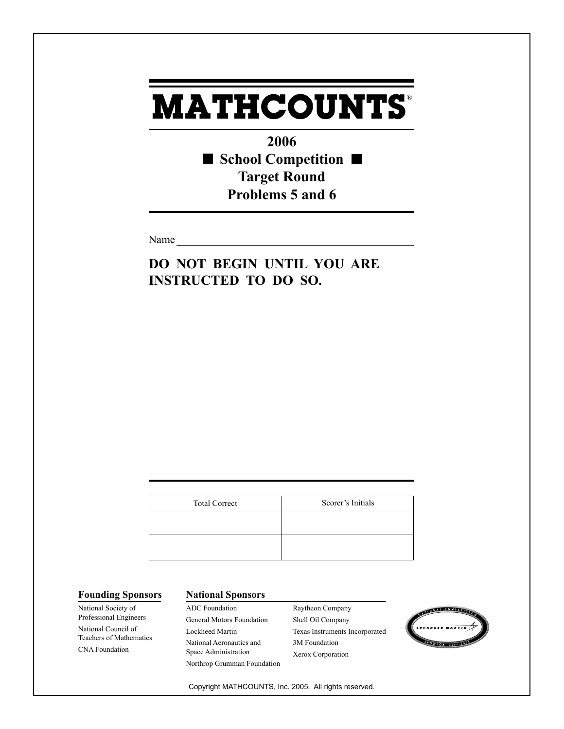**2006** ■ School Competition ■ **Target Round Problems 5 and 6**

Name

**DO NOT BEGIN UNTIL YOU ARE INSTRUCTED TO DO SO.**

| <b>Total Correct</b> | Scorer's Initials |
|----------------------|-------------------|
|                      |                   |
|                      |                   |
|                      |                   |

National Society of Professional Engineers National Council of Teachers of Mathematics CNA Foundation

### **Founding Sponsors National Sponsors**

ADC Foundation General Motors Foundation Lockheed Martin National Aeronautics and Space Administration Northrop Grumman Foundation Raytheon Company Shell Oil Company Texas Instruments Incorporated 3M Foundation Xerox Corporation

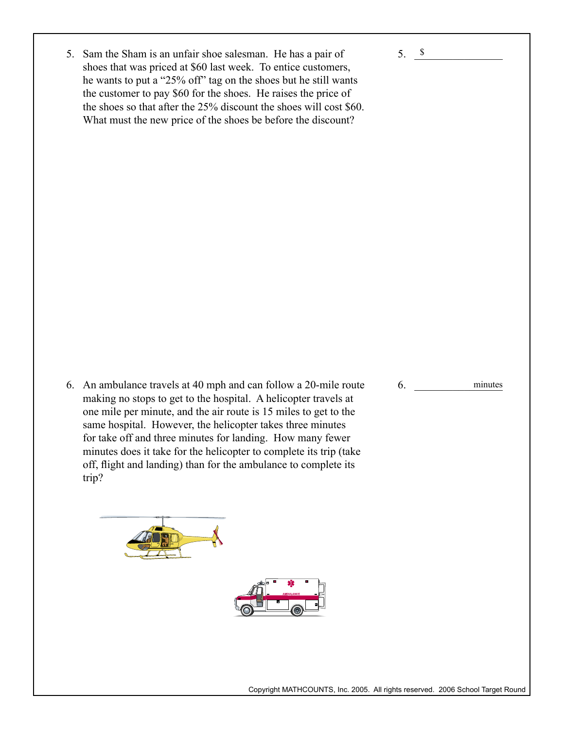5. Sam the Sham is an unfair shoe salesman. He has a pair of shoes that was priced at \$60 last week. To entice customers, he wants to put a "25% off" tag on the shoes but he still wants the customer to pay \$60 for the shoes. He raises the price of the shoes so that after the 25% discount the shoes will cost \$60. What must the new price of the shoes be before the discount?

6. An ambulance travels at 40 mph and can follow a 20-mile route making no stops to get to the hospital. A helicopter travels at one mile per minute, and the air route is 15 miles to get to the same hospital. However, the helicopter takes three minutes for take off and three minutes for landing. How many fewer minutes does it take for the helicopter to complete its trip (take off, flight and landing) than for the ambulance to complete its trip?





6. minutes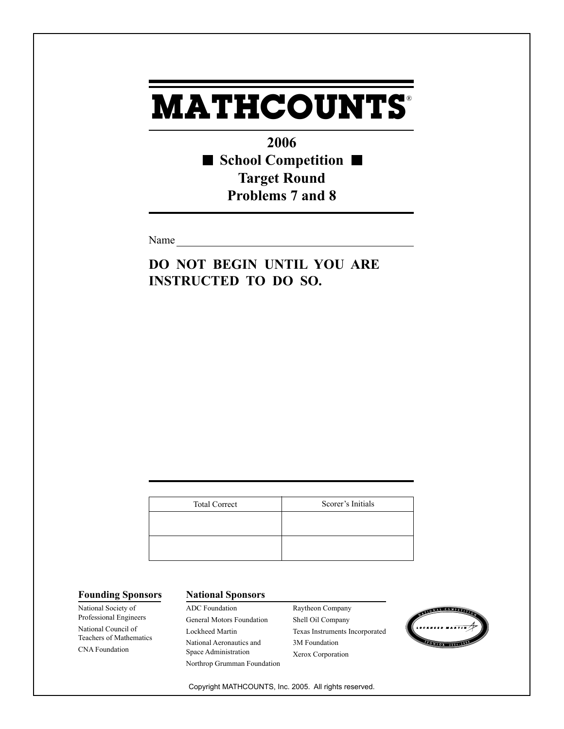**2006** ■ School Competition ■ **Target Round Problems 7 and 8**

Name

**DO NOT BEGIN UNTIL YOU ARE INSTRUCTED TO DO SO.**

| <b>Total Correct</b> | Scorer's Initials |
|----------------------|-------------------|
|                      |                   |
|                      |                   |
|                      |                   |

National Society of Professional Engineers National Council of Teachers of Mathematics CNA Foundation

### **Founding Sponsors National Sponsors**

ADC Foundation General Motors Foundation Lockheed Martin National Aeronautics and Space Administration Northrop Grumman Foundation Raytheon Company Shell Oil Company Texas Instruments Incorporated 3M Foundation Xerox Corporation